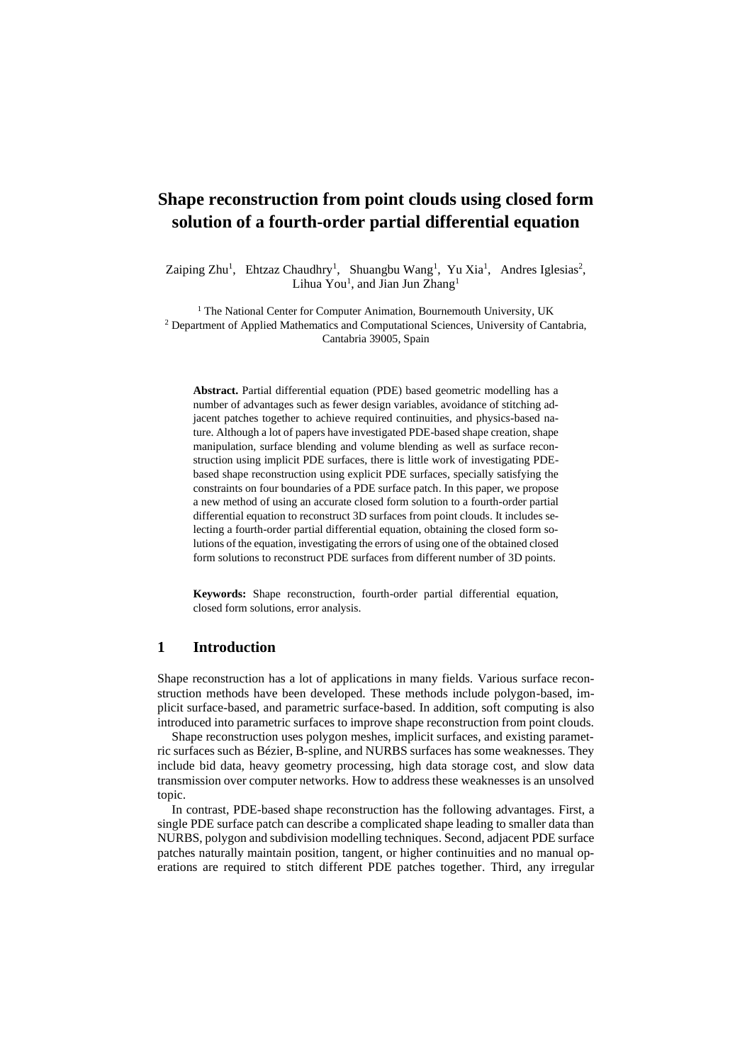# **Shape reconstruction from point clouds using closed form solution of a fourth-order partial differential equation**

Zaiping Zhu<sup>1</sup>, Ehtzaz Chaudhry<sup>1</sup>, Shuangbu Wang<sup>1</sup>, Yu Xia<sup>1</sup>, Andres Iglesias<sup>2</sup>, Lihua You<sup>1</sup>, and Jian Jun Zhang<sup>1</sup>

<sup>1</sup> The National Center for Computer Animation, Bournemouth University, UK <sup>2</sup> Department of Applied Mathematics and Computational Sciences, University of Cantabria, Cantabria 39005, Spain

**Abstract.** Partial differential equation (PDE) based geometric modelling has a number of advantages such as fewer design variables, avoidance of stitching adjacent patches together to achieve required continuities, and physics-based nature. Although a lot of papers have investigated PDE-based shape creation, shape manipulation, surface blending and volume blending as well as surface reconstruction using implicit PDE surfaces, there is little work of investigating PDEbased shape reconstruction using explicit PDE surfaces, specially satisfying the constraints on four boundaries of a PDE surface patch. In this paper, we propose a new method of using an accurate closed form solution to a fourth-order partial differential equation to reconstruct 3D surfaces from point clouds. It includes selecting a fourth-order partial differential equation, obtaining the closed form solutions of the equation, investigating the errors of using one of the obtained closed form solutions to reconstruct PDE surfaces from different number of 3D points.

**Keywords:** Shape reconstruction, fourth-order partial differential equation, closed form solutions, error analysis.

#### **1 Introduction**

Shape reconstruction has a lot of applications in many fields. Various surface reconstruction methods have been developed. These methods include polygon-based, implicit surface-based, and parametric surface-based. In addition, soft computing is also introduced into parametric surfaces to improve shape reconstruction from point clouds.

Shape reconstruction uses polygon meshes, implicit surfaces, and existing parametric surfaces such as Bézier, B-spline, and NURBS surfaces has some weaknesses. They include bid data, heavy geometry processing, high data storage cost, and slow data transmission over computer networks. How to address these weaknesses is an unsolved topic.

In contrast, PDE-based shape reconstruction has the following advantages. First, a single PDE surface patch can describe a complicated shape leading to smaller data than NURBS, polygon and subdivision modelling techniques. Second, adjacent PDE surface patches naturally maintain position, tangent, or higher continuities and no manual operations are required to stitch different PDE patches together. Third, any irregular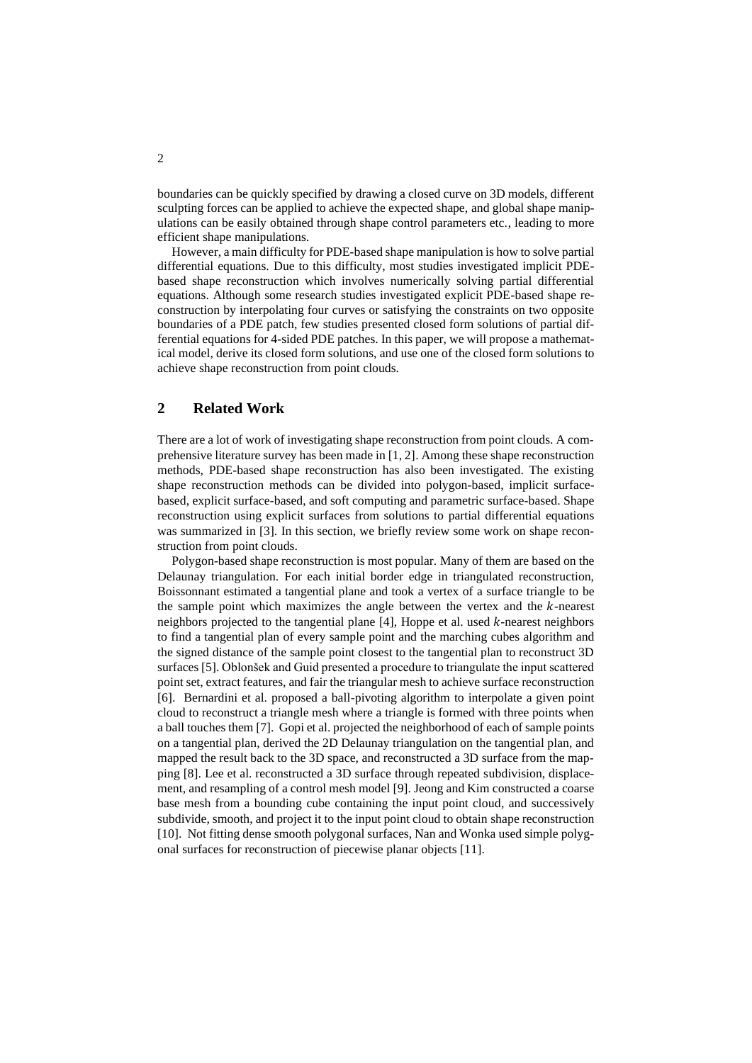boundaries can be quickly specified by drawing a closed curve on 3D models, different sculpting forces can be applied to achieve the expected shape, and global shape manipulations can be easily obtained through shape control parameters etc., leading to more efficient shape manipulations.

However, a main difficulty for PDE-based shape manipulation is how to solve partial differential equations. Due to this difficulty, most studies investigated implicit PDEbased shape reconstruction which involves numerically solving partial differential equations. Although some research studies investigated explicit PDE-based shape reconstruction by interpolating four curves or satisfying the constraints on two opposite boundaries of a PDE patch, few studies presented closed form solutions of partial differential equations for 4-sided PDE patches. In this paper, we will propose a mathematical model, derive its closed form solutions, and use one of the closed form solutions to achieve shape reconstruction from point clouds.

# **2 Related Work**

There are a lot of work of investigating shape reconstruction from point clouds. A comprehensive literature survey has been made in [1, 2]. Among these shape reconstruction methods, PDE-based shape reconstruction has also been investigated. The existing shape reconstruction methods can be divided into polygon-based, implicit surfacebased, explicit surface-based, and soft computing and parametric surface-based. Shape reconstruction using explicit surfaces from solutions to partial differential equations was summarized in [3]. In this section, we briefly review some work on shape reconstruction from point clouds.

Polygon-based shape reconstruction is most popular. Many of them are based on the Delaunay triangulation. For each initial border edge in triangulated reconstruction, Boissonnant estimated a tangential plane and took a vertex of a surface triangle to be the sample point which maximizes the angle between the vertex and the  $k$ -nearest neighbors projected to the tangential plane  $[4]$ , Hoppe et al. used  $k$ -nearest neighbors to find a tangential plan of every sample point and the marching cubes algorithm and the signed distance of the sample point closest to the tangential plan to reconstruct 3D surfaces [5]. Oblonšek and Guid presented a procedure to triangulate the input scattered point set, extract features, and fair the triangular mesh to achieve surface reconstruction [6]. Bernardini et al. proposed a ball-pivoting algorithm to interpolate a given point cloud to reconstruct a triangle mesh where a triangle is formed with three points when a ball touches them [7]. Gopi et al. projected the neighborhood of each of sample points on a tangential plan, derived the 2D Delaunay triangulation on the tangential plan, and mapped the result back to the 3D space, and reconstructed a 3D surface from the mapping [8]. Lee et al. reconstructed a 3D surface through repeated subdivision, displacement, and resampling of a control mesh model [9]. Jeong and Kim constructed a coarse base mesh from a bounding cube containing the input point cloud, and successively subdivide, smooth, and project it to the input point cloud to obtain shape reconstruction [10]. Not fitting dense smooth polygonal surfaces, Nan and Wonka used simple polygonal surfaces for reconstruction of piecewise planar objects [11].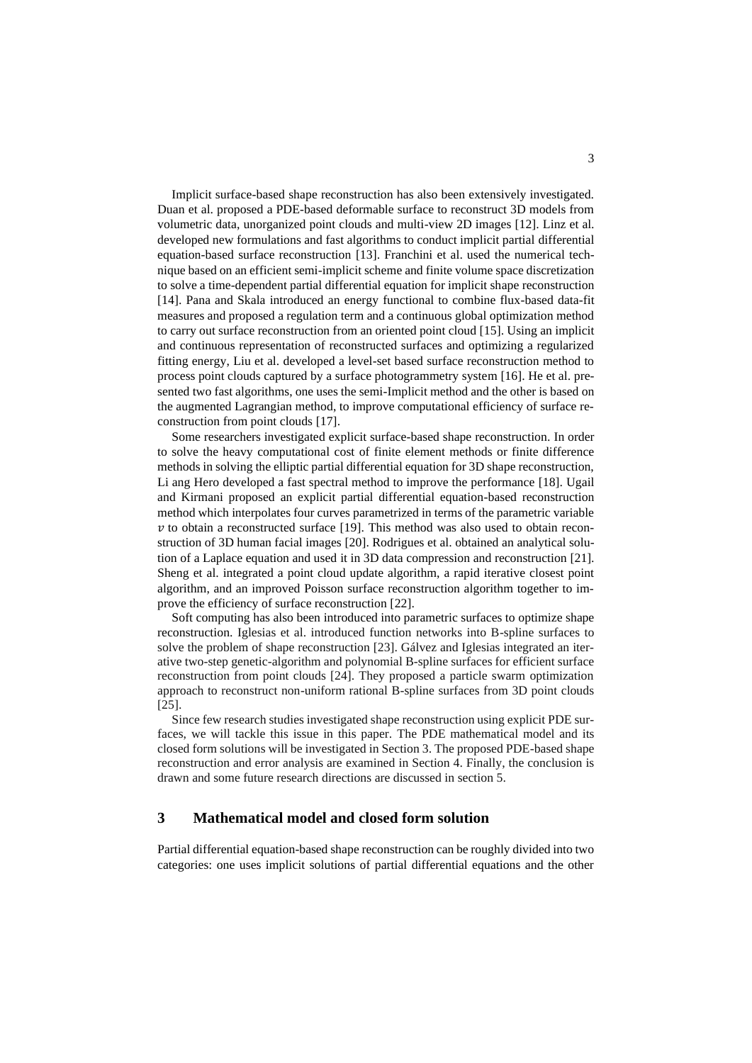Implicit surface-based shape reconstruction has also been extensively investigated. Duan et al. proposed a PDE-based deformable surface to reconstruct 3D models from volumetric data, unorganized point clouds and multi-view 2D images [12]. Linz et al. developed new formulations and fast algorithms to conduct implicit partial differential equation-based surface reconstruction [13]. Franchini et al. used the numerical technique based on an efficient semi-implicit scheme and finite volume space discretization to solve a time-dependent partial differential equation for implicit shape reconstruction [14]. Pana and Skala introduced an energy functional to combine flux-based data-fit measures and proposed a regulation term and a continuous global optimization method to carry out surface reconstruction from an oriented point cloud [15]. Using an implicit and continuous representation of reconstructed surfaces and optimizing a regularized fitting energy, Liu et al. developed a level-set based surface reconstruction method to process point clouds captured by a surface photogrammetry system [16]. He et al. presented two fast algorithms, one uses the semi-Implicit method and the other is based on the augmented Lagrangian method, to improve computational efficiency of surface reconstruction from point clouds [17].

Some researchers investigated explicit surface-based shape reconstruction. In order to solve the heavy computational cost of finite element methods or finite difference methods in solving the elliptic partial differential equation for 3D shape reconstruction, Li ang Hero developed a fast spectral method to improve the performance [18]. Ugail and Kirmani proposed an explicit partial differential equation-based reconstruction method which interpolates four curves parametrized in terms of the parametric variable  $\nu$  to obtain a reconstructed surface [19]. This method was also used to obtain reconstruction of 3D human facial images [20]. Rodrigues et al. obtained an analytical solution of a Laplace equation and used it in 3D data compression and reconstruction [21]. Sheng et al. integrated a point cloud update algorithm, a rapid iterative closest point algorithm, and an improved Poisson surface reconstruction algorithm together to improve the efficiency of surface reconstruction [22].

Soft computing has also been introduced into parametric surfaces to optimize shape reconstruction. Iglesias et al. introduced function networks into B-spline surfaces to solve the problem of shape reconstruction [23]. Gálvez and Iglesias integrated an iterative two-step genetic-algorithm and polynomial B-spline surfaces for efficient surface reconstruction from point clouds [24]. They proposed a particle swarm optimization approach to reconstruct non-uniform rational B-spline surfaces from 3D point clouds [25].

Since few research studies investigated shape reconstruction using explicit PDE surfaces, we will tackle this issue in this paper. The PDE mathematical model and its closed form solutions will be investigated in Section 3. The proposed PDE-based shape reconstruction and error analysis are examined in Section 4. Finally, the conclusion is drawn and some future research directions are discussed in section 5.

### **3 Mathematical model and closed form solution**

Partial differential equation-based shape reconstruction can be roughly divided into two categories: one uses implicit solutions of partial differential equations and the other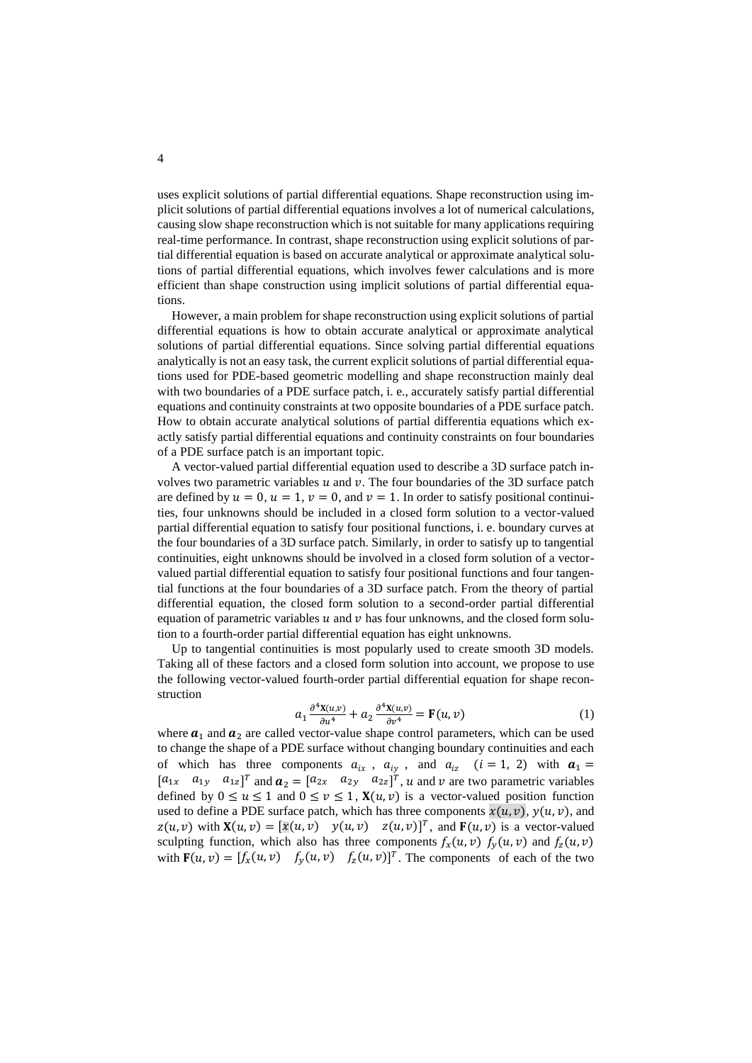uses explicit solutions of partial differential equations. Shape reconstruction using implicit solutions of partial differential equations involves a lot of numerical calculations, causing slow shape reconstruction which is not suitable for many applications requiring real-time performance. In contrast, shape reconstruction using explicit solutions of partial differential equation is based on accurate analytical or approximate analytical solutions of partial differential equations, which involves fewer calculations and is more efficient than shape construction using implicit solutions of partial differential equations.

However, a main problem for shape reconstruction using explicit solutions of partial differential equations is how to obtain accurate analytical or approximate analytical solutions of partial differential equations. Since solving partial differential equations analytically is not an easy task, the current explicit solutions of partial differential equations used for PDE-based geometric modelling and shape reconstruction mainly deal with two boundaries of a PDE surface patch, i. e., accurately satisfy partial differential equations and continuity constraints at two opposite boundaries of a PDE surface patch. How to obtain accurate analytical solutions of partial differentia equations which exactly satisfy partial differential equations and continuity constraints on four boundaries of a PDE surface patch is an important topic.

A vector-valued partial differential equation used to describe a 3D surface patch involves two parametric variables  $u$  and  $v$ . The four boundaries of the 3D surface patch are defined by  $u = 0$ ,  $u = 1$ ,  $v = 0$ , and  $v = 1$ . In order to satisfy positional continuities, four unknowns should be included in a closed form solution to a vector-valued partial differential equation to satisfy four positional functions, i. e. boundary curves at the four boundaries of a 3D surface patch. Similarly, in order to satisfy up to tangential continuities, eight unknowns should be involved in a closed form solution of a vectorvalued partial differential equation to satisfy four positional functions and four tangential functions at the four boundaries of a 3D surface patch. From the theory of partial differential equation, the closed form solution to a second-order partial differential equation of parametric variables  $u$  and  $v$  has four unknowns, and the closed form solution to a fourth-order partial differential equation has eight unknowns.

Up to tangential continuities is most popularly used to create smooth 3D models. Taking all of these factors and a closed form solution into account, we propose to use the following vector-valued fourth-order partial differential equation for shape reconstruction

$$
a_1 \frac{\partial^4 \mathbf{X}(u,v)}{\partial u^4} + a_2 \frac{\partial^4 \mathbf{X}(u,v)}{\partial v^4} = \mathbf{F}(u,v) \tag{1}
$$

where  $a_1$  and  $a_2$  are called vector-value shape control parameters, which can be used to change the shape of a PDE surface without changing boundary continuities and each of which has three components  $a_{ix}$ ,  $a_{iy}$ , and  $a_{iz}$   $(i = 1, 2)$  with  $a_1 =$  $[a_{1x} \quad a_{1y} \quad a_{1z}]^T$  and  $a_2 = [a_{2x} \quad a_{2y} \quad a_{2z}]^T$ , u and v are two parametric variables defined by  $0 \le u \le 1$  and  $0 \le v \le 1$ ,  $X(u, v)$  is a vector-valued position function used to define a PDE surface patch, which has three components  $x(u, v)$ ,  $y(u, v)$ , and  $z(u, v)$  with  $\mathbf{X}(u, v) = [\mathbf{x}(u, v) \quad y(u, v) \quad z(u, v)]^T$ , and  $\mathbf{F}(u, v)$  is a vector-valued sculpting function, which also has three components  $f_x(u, v)$   $f_y(u, v)$  and  $f_z(u, v)$ with  $\mathbf{F}(u, v) = [f_x(u, v) \quad f_y(u, v) \quad f_z(u, v)]^T$ . The components of each of the two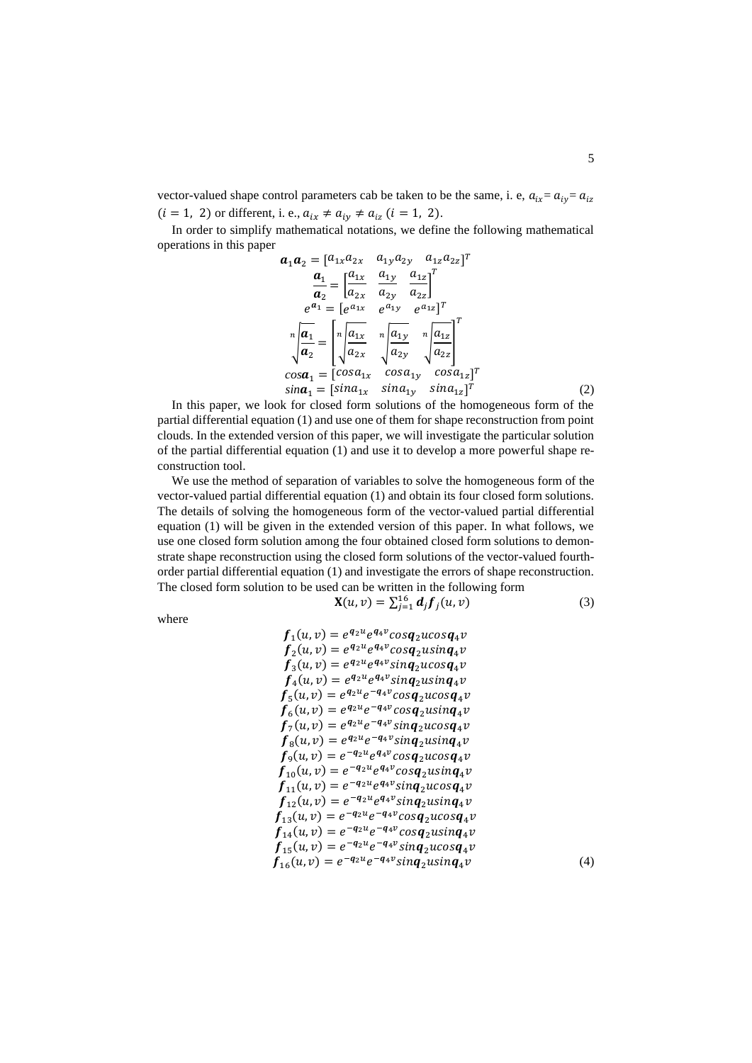vector-valued shape control parameters cab be taken to be the same, i. e,  $a_{ix} = a_{iy} = a_{iz}$  $(i = 1, 2)$  or different, i. e.,  $a_{ix} \neq a_{iy} \neq a_{iz}$   $(i = 1, 2)$ .

In order to simplify mathematical notations, we define the following mathematical operations in this paper  $\approx$   $\approx$   $\frac{1}{2}$ 

$$
a_{1}a_{2} = [a_{1x}a_{2x} \quad a_{1y}a_{2y} \quad a_{1z}a_{2z}]^{T}
$$
  
\n
$$
\frac{a_{1}}{a_{2}} = \begin{bmatrix} a_{1x} & a_{1y} & a_{1z} \\ a_{2x} & a_{2y} & a_{2z} \end{bmatrix}^{T}
$$
  
\n
$$
e^{a_{1}} = [e^{a_{1x}} \quad e^{a_{1y}} \quad e^{a_{1z}}]^{T}
$$
  
\n
$$
n \begin{bmatrix} a_{1} \\ a_{2} \end{bmatrix} = \begin{bmatrix} n \begin{bmatrix} a_{1x} \\ a_{2x} \end{bmatrix} & n \begin{bmatrix} a_{1y} \\ a_{2y} \end{bmatrix}^{T} \begin{bmatrix} a_{1z} \\ a_{2z} \end{bmatrix}^{T}
$$
  
\n
$$
cos a_{1} = [cos a_{1x} \quad cos a_{1y} \quad cos a_{1z}]^{T}
$$
  
\n
$$
sin a_{1} = [sin a_{1x} \quad sin a_{1y} \quad sin a_{1z}]^{T}
$$
  
\n(2)

In this paper, we look for closed form solutions of the homogeneous form of the partial differential equation (1) and use one of them for shape reconstruction from point clouds. In the extended version of this paper, we will investigate the particular solution of the partial differential equation (1) and use it to develop a more powerful shape reconstruction tool.

We use the method of separation of variables to solve the homogeneous form of the vector-valued partial differential equation (1) and obtain its four closed form solutions. The details of solving the homogeneous form of the vector-valued partial differential equation (1) will be given in the extended version of this paper. In what follows, we use one closed form solution among the four obtained closed form solutions to demonstrate shape reconstruction using the closed form solutions of the vector-valued fourthorder partial differential equation (1) and investigate the errors of shape reconstruction. The closed form solution to be used can be written in the following form

where

$$
\mathbf{X}(u,v) = \sum_{j=1}^{16} d_j \mathbf{f}_j(u,v) \tag{3}
$$

$$
f_1(u,v) = e^{q_2u}e^{q_4v}\cos q_2ucos q_4v
$$
  
\n
$$
f_2(u,v) = e^{q_2u}e^{q_4v}\cos q_2usin q_4v
$$
  
\n
$$
f_3(u,v) = e^{q_2u}e^{q_4v}\sin q_2ucos q_4v
$$
  
\n
$$
f_4(u,v) = e^{q_2u}e^{q_4v}\sin q_2usin q_4v
$$
  
\n
$$
f_5(u,v) = e^{q_2u}e^{-q_4v}\cos q_2ucos q_4v
$$
  
\n
$$
f_6(u,v) = e^{q_2u}e^{-q_4v}\cos q_2usin q_4v
$$
  
\n
$$
f_7(u,v) = e^{q_2u}e^{-q_4v}\sin q_2ucos q_4v
$$
  
\n
$$
f_8(u,v) = e^{q_2u}e^{-q_4v}\sin q_2usin q_4v
$$
  
\n
$$
f_9(u,v) = e^{-q_2u}e^{q_4v}\cos q_2ucos q_4v
$$
  
\n
$$
f_{10}(u,v) = e^{-q_2u}e^{q_4v}\cos q_2usin q_4v
$$
  
\n
$$
f_{11}(u,v) = e^{-q_2u}e^{q_4v}\sin q_2ucos q_4v
$$
  
\n
$$
f_{12}(u,v) = e^{-q_2u}e^{-q_4v}\sin q_2usin q_4v
$$
  
\n
$$
f_{13}(u,v) = e^{-q_2u}e^{-q_4v}\cos q_2ucos q_4v
$$
  
\n
$$
f_{14}(u,v) = e^{-q_2u}e^{-q_4v}\cos q_2ucos q_4v
$$
  
\n
$$
f_{15}(u,v) = e^{-q_2u}e^{-q_4v}\sin q_2ucos q_4v
$$
  
\n
$$
f_{15}(u,v) = e^{-q_2u}e^{-q_4v}\sin q_2ucos q_4v
$$
  
\n
$$
f_{16}(u,v) = e^{-q_2u}e^{-q_4v}\sin q_2ucos q_4v
$$
  
\n
$$
f_{16}(u,v) = e^{-q
$$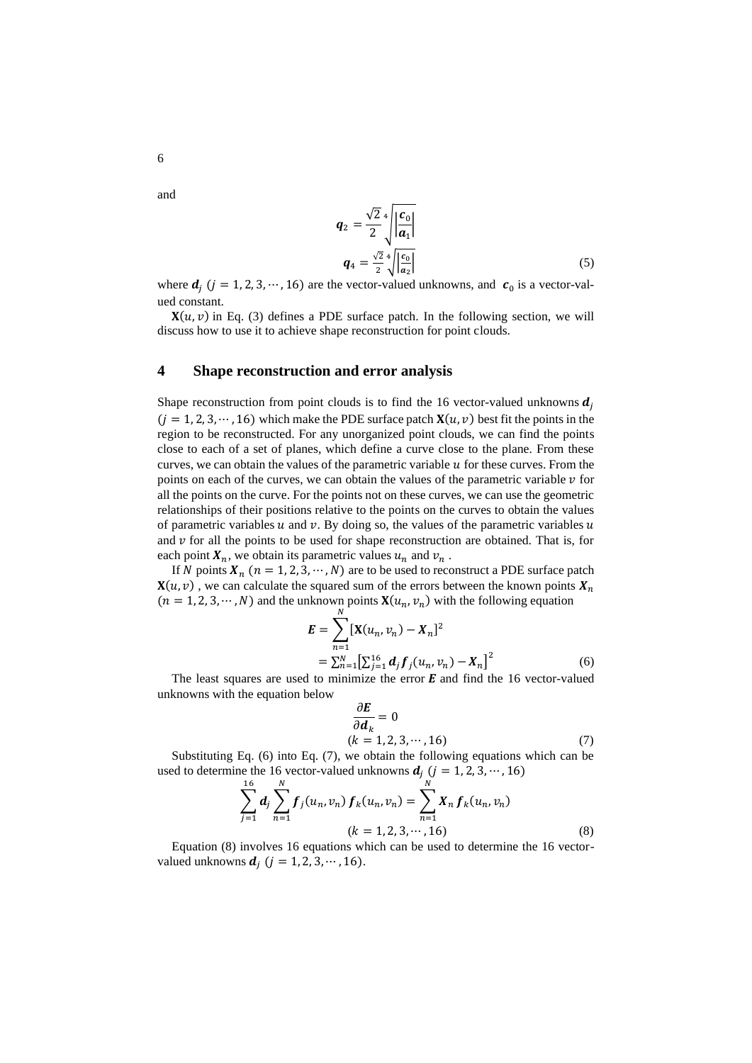$$
q_2 = \frac{\sqrt{2}}{2} \sqrt{\left|\frac{c_0}{a_1}\right|}
$$
  

$$
q_4 = \frac{\sqrt{2}}{2} \sqrt{\left|\frac{c_0}{a_2}\right|}
$$
 (5)

where  $d_j$  ( $j = 1, 2, 3, \dots, 16$ ) are the vector-valued unknowns, and  $c_0$  is a vector-valued constant.

 $X(u, v)$  in Eq. (3) defines a PDE surface patch. In the following section, we will discuss how to use it to achieve shape reconstruction for point clouds.

### **4 Shape reconstruction and error analysis**

Shape reconstruction from point clouds is to find the 16 vector-valued unknowns  $d_i$  $(j = 1, 2, 3, \dots, 16)$  which make the PDE surface patch  $X(u, v)$  best fit the points in the region to be reconstructed. For any unorganized point clouds, we can find the points close to each of a set of planes, which define a curve close to the plane. From these curves, we can obtain the values of the parametric variable  $u$  for these curves. From the points on each of the curves, we can obtain the values of the parametric variable  $\nu$  for all the points on the curve. For the points not on these curves, we can use the geometric relationships of their positions relative to the points on the curves to obtain the values of parametric variables  $u$  and  $v$ . By doing so, the values of the parametric variables  $u$ and  $\nu$  for all the points to be used for shape reconstruction are obtained. That is, for each point  $X_n$ , we obtain its parametric values  $u_n$  and  $v_n$ .

If N points  $X_n$  ( $n = 1, 2, 3, \cdots, N$ ) are to be used to reconstruct a PDE surface patch  $X(u, v)$ , we can calculate the squared sum of the errors between the known points  $X_n$  $(n = 1, 2, 3, \cdots, N)$  and the unknown points  $\mathbf{X}(u_n, v_n)$  with the following equation

$$
E = \sum_{n=1}^{N} \left[ \mathbf{X}(u_n, v_n) - \mathbf{X}_n \right]^2
$$
  
=  $\sum_{n=1}^{N} \left[ \sum_{j=1}^{16} \mathbf{d}_j \mathbf{f}_j (u_n, v_n) - \mathbf{X}_n \right]^2$  (6)

The least squares are used to minimize the error  $\vec{E}$  and find the 16 vector-valued unknowns with the equation below

$$
\frac{\partial E}{\partial d_k} = 0
$$
  
(k = 1, 2, 3, ..., 16) (7)

Substituting Eq. (6) into Eq. (7), we obtain the following equations which can be used to determine the 16 vector-valued unknowns  $d_i$  ( $j = 1, 2, 3, \dots, 16$ )

$$
\sum_{j=1}^{16} d_j \sum_{n=1}^{N} f_j(u_n, v_n) f_k(u_n, v_n) = \sum_{n=1}^{N} X_n f_k(u_n, v_n)
$$
\n
$$
(k = 1, 2, 3, \cdots, 16)
$$
\n(8)

Equation (8) involves 16 equations which can be used to determine the 16 vectorvalued unknowns  $\mathbf{d}_i$  ( $j = 1, 2, 3, \dots, 16$ ).

6 and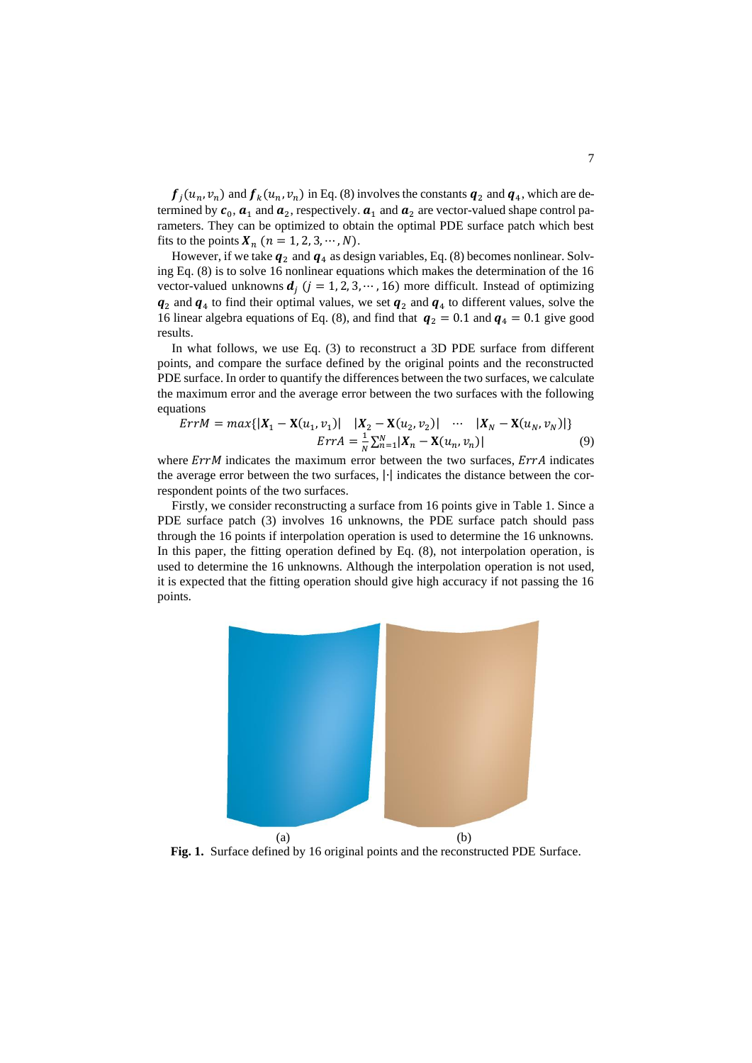$f_j(u_n, v_n)$  and  $f_k(u_n, v_n)$  in Eq. (8) involves the constants  $q_2$  and  $q_4$ , which are determined by  $c_0$ ,  $a_1$  and  $a_2$ , respectively.  $a_1$  and  $a_2$  are vector-valued shape control parameters. They can be optimized to obtain the optimal PDE surface patch which best fits to the points  $X_n$   $(n = 1, 2, 3, \dots, N)$ .

However, if we take  $q_2$  and  $q_4$  as design variables, Eq. (8) becomes nonlinear. Solving Eq. (8) is to solve 16 nonlinear equations which makes the determination of the 16 vector-valued unknowns  $d_i$  ( $j = 1, 2, 3, \dots, 16$ ) more difficult. Instead of optimizing  $q_2$  and  $q_4$  to find their optimal values, we set  $q_2$  and  $q_4$  to different values, solve the 16 linear algebra equations of Eq. (8), and find that  $q_2 = 0.1$  and  $q_4 = 0.1$  give good results.

In what follows, we use Eq. (3) to reconstruct a 3D PDE surface from different points, and compare the surface defined by the original points and the reconstructed PDE surface. In order to quantify the differences between the two surfaces, we calculate the maximum error and the average error between the two surfaces with the following equations

$$
ErrM = max\{|X_1 - X(u_1, v_1)| \mid |X_2 - X(u_2, v_2)| \quad \cdots \quad |X_N - X(u_N, v_N)|\}
$$

$$
ErrA = \frac{1}{N} \sum_{n=1}^{N} |X_n - X(u_n, v_n)| \tag{9}
$$

where  $ErrM$  indicates the maximum error between the two surfaces,  $ErrA$  indicates the average error between the two surfaces, |∙| indicates the distance between the correspondent points of the two surfaces.

Firstly, we consider reconstructing a surface from 16 points give in Table 1. Since a PDE surface patch (3) involves 16 unknowns, the PDE surface patch should pass through the 16 points if interpolation operation is used to determine the 16 unknowns. In this paper, the fitting operation defined by Eq. (8), not interpolation operation, is used to determine the 16 unknowns. Although the interpolation operation is not used, it is expected that the fitting operation should give high accuracy if not passing the 16 points.



**Fig. 1.** Surface defined by 16 original points and the reconstructed PDE Surface.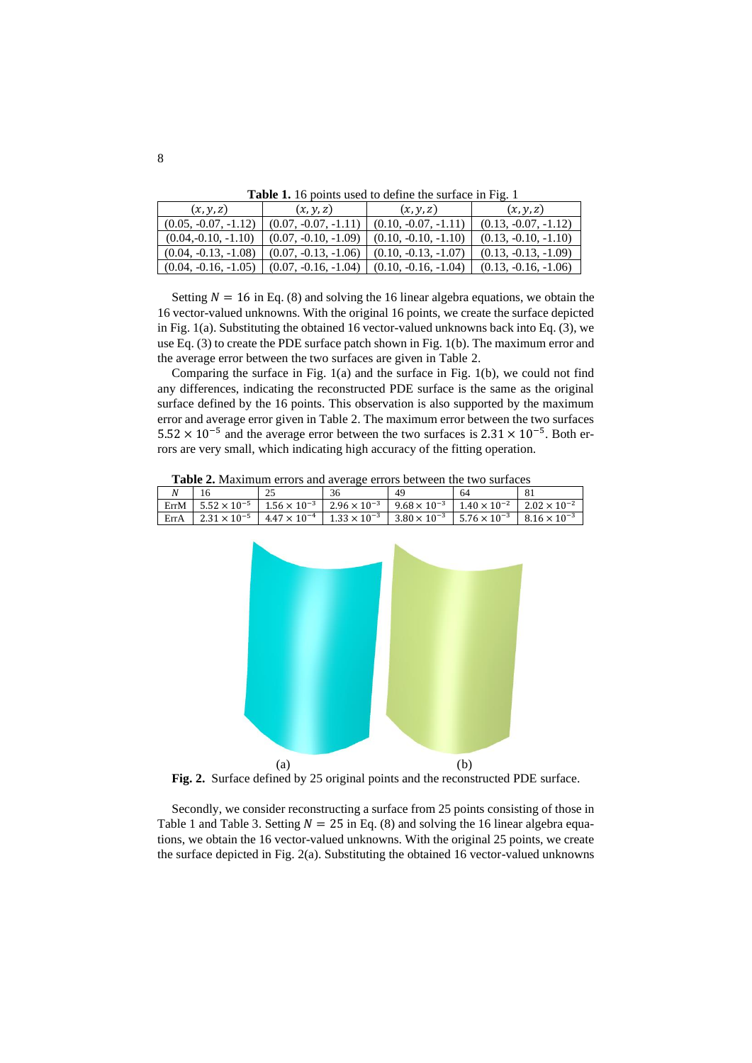**Table 1.** 16 points used to define the surface in Fig. 1

| (x, y, z)              | (x, y, z)              | (x, y, z)              | (x, y, z)              |
|------------------------|------------------------|------------------------|------------------------|
| $(0.05, -0.07, -1.12)$ | $(0.07, -0.07, -1.11)$ | $(0.10, -0.07, -1.11)$ | $(0.13, -0.07, -1.12)$ |
| $(0.04,-0.10,-1.10)$   | $(0.07, -0.10, -1.09)$ | $(0.10, -0.10, -1.10)$ | $(0.13, -0.10, -1.10)$ |
| $(0.04, -0.13, -1.08)$ | $(0.07, -0.13, -1.06)$ | $(0.10, -0.13, -1.07)$ | $(0.13, -0.13, -1.09)$ |
| $(0.04, -0.16, -1.05)$ | $(0.07, -0.16, -1.04)$ | $(0.10, -0.16, -1.04)$ | $(0.13, -0.16, -1.06)$ |

Setting  $N = 16$  in Eq. (8) and solving the 16 linear algebra equations, we obtain the 16 vector-valued unknowns. With the original 16 points, we create the surface depicted in Fig. 1(a). Substituting the obtained 16 vector-valued unknowns back into Eq. (3), we use Eq. (3) to create the PDE surface patch shown in Fig. 1(b). The maximum error and the average error between the two surfaces are given in Table 2.

Comparing the surface in Fig.  $1(a)$  and the surface in Fig.  $1(b)$ , we could not find any differences, indicating the reconstructed PDE surface is the same as the original surface defined by the 16 points. This observation is also supported by the maximum error and average error given in Table 2. The maximum error between the two surfaces 5.52 × 10<sup>-5</sup> and the average error between the two surfaces is  $2.31 \times 10^{-5}$ . Both errors are very small, which indicating high accuracy of the fitting operation.

 $N$  16 25 36 49 64 81 ErrM  $\begin{array}{|l|c|c|c|c|c|c|c|c|}\n\hline\n5.52 \times 10^{-5} & 1.56 \times 10^{-3} & 2.96 \times 10^{-3} & 9.68 \times 10^{-3} & 1.40 \times 10^{-2} & 2.02 \times 10^{-2} \\
\hline\n\hline\n\text{ErrA} & 2.31 \times 10^{-5} & 4.47 \times 10^{-4} & 1.33 \times 10^{-3} & 3.80 \times 10^{-3} & 5.76 \times 10^{-3} & 8.16 \times 10^{-3}\n\h$  $1.33 \times 10^{-3}$ 

**Table 2.** Maximum errors and average errors between the two surfaces



**Fig. 2.** Surface defined by 25 original points and the reconstructed PDE surface.

Secondly, we consider reconstructing a surface from 25 points consisting of those in Table 1 and Table 3. Setting  $N = 25$  in Eq. (8) and solving the 16 linear algebra equations, we obtain the 16 vector-valued unknowns. With the original 25 points, we create the surface depicted in Fig. 2(a). Substituting the obtained 16 vector-valued unknowns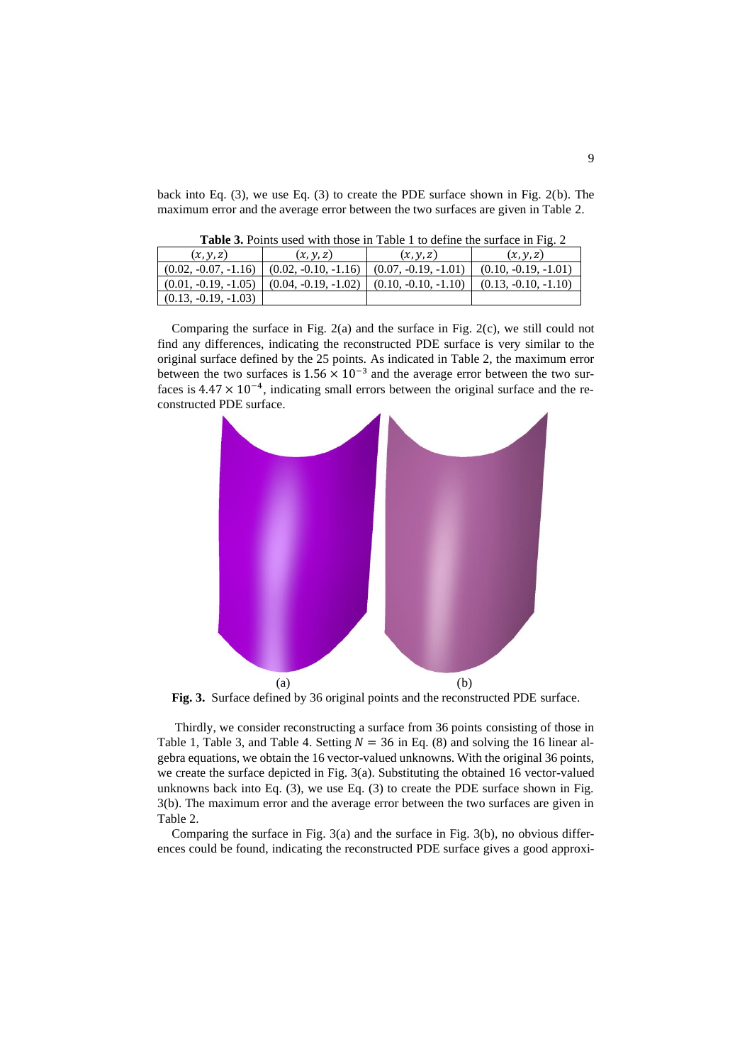back into Eq. (3), we use Eq. (3) to create the PDE surface shown in Fig. 2(b). The maximum error and the average error between the two surfaces are given in Table 2.

**Table 3.** Points used with those in Table 1 to define the surface in Fig. 2.

| <b>Table 3.</b> Follits used with those in Table 1 to define the surface in Fig. 2 |                                               |           |                        |  |  |
|------------------------------------------------------------------------------------|-----------------------------------------------|-----------|------------------------|--|--|
| (x, y, z)                                                                          | (x, y, z)                                     | (x, y, z) | (x, y, z)              |  |  |
| $(0.02, -0.07, -1.16)$                                                             | $(0.02, -0.10, -1.16)$ $(0.07, -0.19, -1.01)$ |           | $(0.10, -0.19, -1.01)$ |  |  |
| $(0.01, -0.19, -1.05)$                                                             | $(0.04, -0.19, -1.02)$ $(0.10, -0.10, -1.10)$ |           | $(0.13, -0.10, -1.10)$ |  |  |
| $(0.13, -0.19, -1.03)$                                                             |                                               |           |                        |  |  |

Comparing the surface in Fig. 2(a) and the surface in Fig. 2(c), we still could not find any differences, indicating the reconstructed PDE surface is very similar to the original surface defined by the 25 points. As indicated in Table 2, the maximum error between the two surfaces is  $1.56 \times 10^{-3}$  and the average error between the two surfaces is  $4.47 \times 10^{-4}$ , indicating small errors between the original surface and the reconstructed PDE surface.



**Fig. 3.** Surface defined by 36 original points and the reconstructed PDE surface.

Thirdly, we consider reconstructing a surface from 36 points consisting of those in Table 1, Table 3, and Table 4. Setting  $N = 36$  in Eq. (8) and solving the 16 linear algebra equations, we obtain the 16 vector-valued unknowns. With the original 36 points, we create the surface depicted in Fig. 3(a). Substituting the obtained 16 vector-valued unknowns back into Eq. (3), we use Eq. (3) to create the PDE surface shown in Fig. 3(b). The maximum error and the average error between the two surfaces are given in Table 2.

Comparing the surface in Fig. 3(a) and the surface in Fig. 3(b), no obvious differences could be found, indicating the reconstructed PDE surface gives a good approxi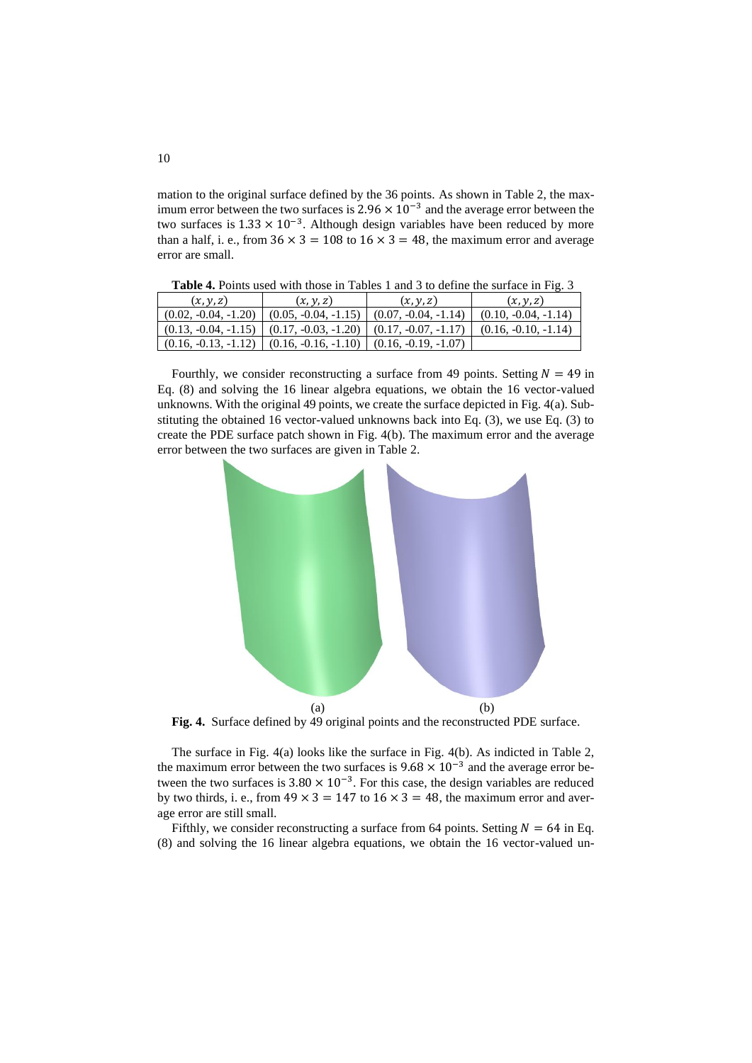mation to the original surface defined by the 36 points. As shown in Table 2, the maximum error between the two surfaces is  $2.96 \times 10^{-3}$  and the average error between the two surfaces is  $1.33 \times 10^{-3}$ . Although design variables have been reduced by more than a half, i. e., from  $36 \times 3 = 108$  to  $16 \times 3 = 48$ , the maximum error and average error are small.

**Table 4.** Points used with those in Tables 1 and 3 to define the surface in Fig. 3

| (x, y, z) | (x, y, z)                                                                                   | (x, y, z) | (x, y, z)              |
|-----------|---------------------------------------------------------------------------------------------|-----------|------------------------|
|           | $(0.02, -0.04, -1.20)$ $(0.05, -0.04, -1.15)$ $(0.07, -0.04, -1.14)$ $(0.10, -0.04, -1.14)$ |           |                        |
|           | $(0.13, -0.04, -1.15)$ $(0.17, -0.03, -1.20)$ $(0.17, -0.07, -1.17)$                        |           | $(0.16, -0.10, -1.14)$ |
|           | $(0.16, -0.13, -1.12)$ $(0.16, -0.16, -1.10)$ $(0.16, -0.19, -1.07)$                        |           |                        |

Fourthly, we consider reconstructing a surface from 49 points. Setting  $N = 49$  in Eq. (8) and solving the 16 linear algebra equations, we obtain the 16 vector-valued unknowns. With the original 49 points, we create the surface depicted in Fig. 4(a). Substituting the obtained 16 vector-valued unknowns back into Eq. (3), we use Eq. (3) to create the PDE surface patch shown in Fig. 4(b). The maximum error and the average error between the two surfaces are given in Table 2.



**Fig. 4.** Surface defined by 49 original points and the reconstructed PDE surface.

The surface in Fig. 4(a) looks like the surface in Fig. 4(b). As indicted in Table 2, the maximum error between the two surfaces is  $9.68 \times 10^{-3}$  and the average error between the two surfaces is  $3.80 \times 10^{-3}$ . For this case, the design variables are reduced by two thirds, i. e., from  $49 \times 3 = 147$  to  $16 \times 3 = 48$ , the maximum error and average error are still small.

Fifthly, we consider reconstructing a surface from 64 points. Setting  $N = 64$  in Eq. (8) and solving the 16 linear algebra equations, we obtain the 16 vector-valued un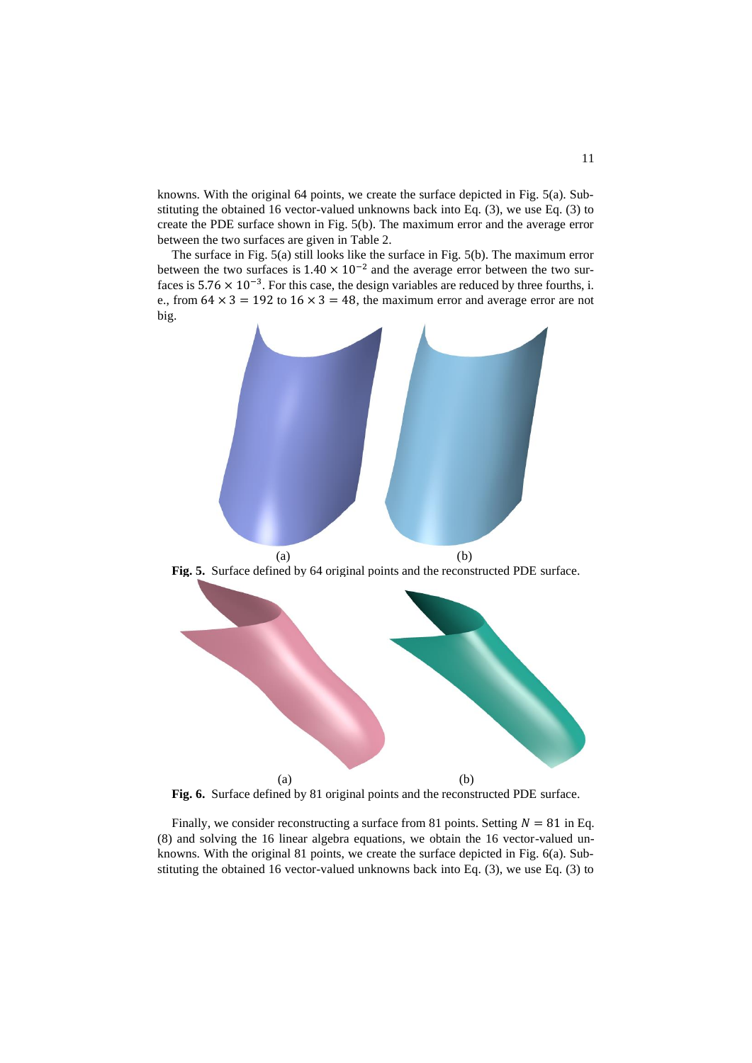knowns. With the original 64 points, we create the surface depicted in Fig. 5(a). Substituting the obtained 16 vector-valued unknowns back into Eq. (3), we use Eq. (3) to create the PDE surface shown in Fig. 5(b). The maximum error and the average error between the two surfaces are given in Table 2.

The surface in Fig. 5(a) still looks like the surface in Fig. 5(b). The maximum error between the two surfaces is  $1.40 \times 10^{-2}$  and the average error between the two surfaces is  $5.76 \times 10^{-3}$ . For this case, the design variables are reduced by three fourths, i. e., from  $64 \times 3 = 192$  to  $16 \times 3 = 48$ , the maximum error and average error are not big.



**Fig. 6.** Surface defined by 81 original points and the reconstructed PDE surface.

Finally, we consider reconstructing a surface from 81 points. Setting  $N = 81$  in Eq. (8) and solving the 16 linear algebra equations, we obtain the 16 vector-valued unknowns. With the original 81 points, we create the surface depicted in Fig. 6(a). Substituting the obtained 16 vector-valued unknowns back into Eq. (3), we use Eq. (3) to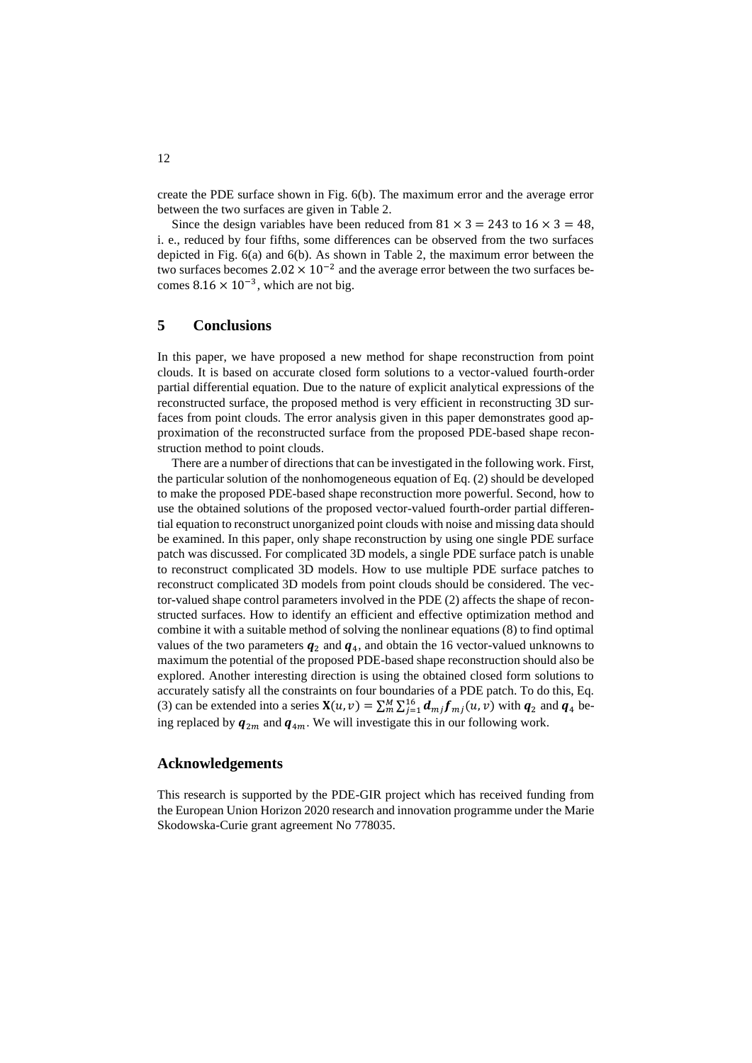create the PDE surface shown in Fig. 6(b). The maximum error and the average error between the two surfaces are given in Table 2.

Since the design variables have been reduced from  $81 \times 3 = 243$  to  $16 \times 3 = 48$ , i. e., reduced by four fifths, some differences can be observed from the two surfaces depicted in Fig. 6(a) and 6(b). As shown in Table 2, the maximum error between the two surfaces becomes  $2.02 \times 10^{-2}$  and the average error between the two surfaces becomes  $8.16 \times 10^{-3}$ , which are not big.

## **5 Conclusions**

In this paper, we have proposed a new method for shape reconstruction from point clouds. It is based on accurate closed form solutions to a vector-valued fourth-order partial differential equation. Due to the nature of explicit analytical expressions of the reconstructed surface, the proposed method is very efficient in reconstructing 3D surfaces from point clouds. The error analysis given in this paper demonstrates good approximation of the reconstructed surface from the proposed PDE-based shape reconstruction method to point clouds.

There are a number of directions that can be investigated in the following work. First, the particular solution of the nonhomogeneous equation of Eq. (2) should be developed to make the proposed PDE-based shape reconstruction more powerful. Second, how to use the obtained solutions of the proposed vector-valued fourth-order partial differential equation to reconstruct unorganized point clouds with noise and missing data should be examined. In this paper, only shape reconstruction by using one single PDE surface patch was discussed. For complicated 3D models, a single PDE surface patch is unable to reconstruct complicated 3D models. How to use multiple PDE surface patches to reconstruct complicated 3D models from point clouds should be considered. The vector-valued shape control parameters involved in the PDE (2) affects the shape of reconstructed surfaces. How to identify an efficient and effective optimization method and combine it with a suitable method of solving the nonlinear equations (8) to find optimal values of the two parameters  $q_2$  and  $q_4$ , and obtain the 16 vector-valued unknowns to maximum the potential of the proposed PDE-based shape reconstruction should also be explored. Another interesting direction is using the obtained closed form solutions to accurately satisfy all the constraints on four boundaries of a PDE patch. To do this, Eq. (3) can be extended into a series  $\mathbf{X}(u, v) = \sum_{m=1}^{M} \sum_{j=1}^{16} d_{mj} f_{mj}(u, v)$  with  $q_2$  and  $q_4$  being replaced by  $q_{2m}$  and  $q_{4m}$ . We will investigate this in our following work.

#### **Acknowledgements**

This research is supported by the PDE-GIR project which has received funding from the European Union Horizon 2020 research and innovation programme under the Marie Skodowska-Curie grant agreement No 778035.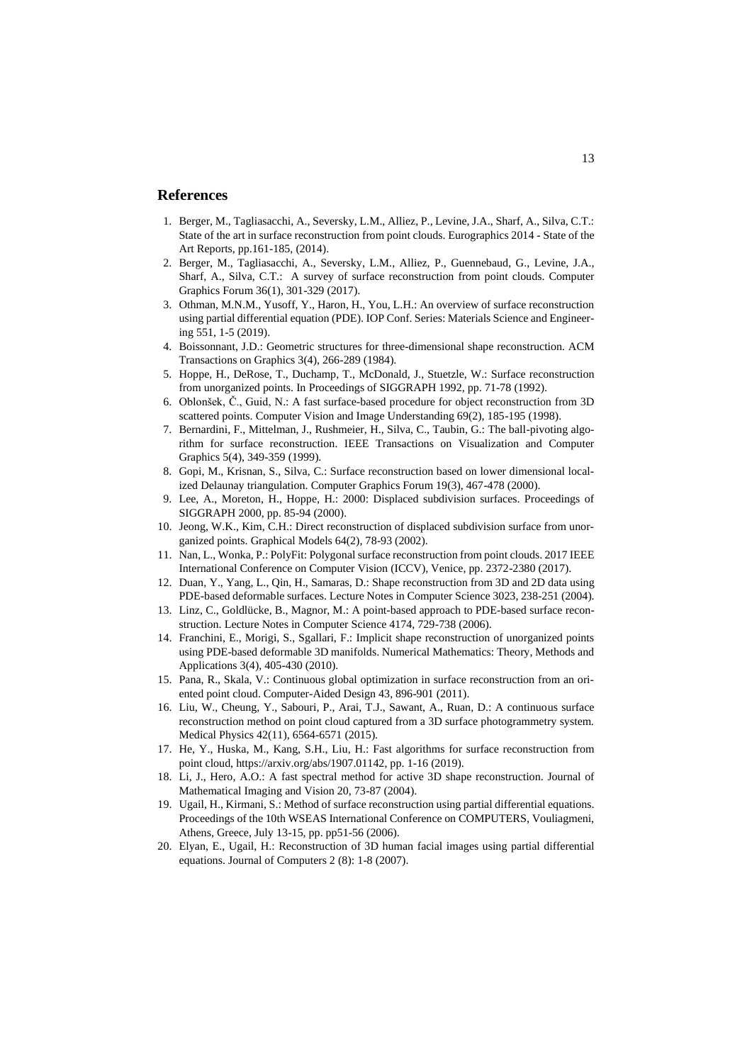#### **References**

- 1. Berger, M., Tagliasacchi, A., Seversky, L.M., Alliez, P., Levine, J.A., Sharf, A., Silva, C.T.: State of the art in surface reconstruction from point clouds. Eurographics 2014 - State of the Art Reports, pp.161-185, (2014).
- 2. Berger, M., Tagliasacchi, A., Seversky, L.M., Alliez, P., Guennebaud, G., Levine, J.A., Sharf, A., Silva, C.T.: A survey of surface reconstruction from point clouds. Computer Graphics Forum 36(1), 301-329 (2017).
- 3. Othman, M.N.M., Yusoff, Y., Haron, H., You, L.H.: An overview of surface reconstruction using partial differential equation (PDE). IOP Conf. Series: Materials Science and Engineering 551, 1-5 (2019).
- 4. Boissonnant, J.D.: Geometric structures for three-dimensional shape reconstruction. ACM Transactions on Graphics 3(4), 266-289 (1984).
- 5. Hoppe, H., DeRose, T., Duchamp, T., McDonald, J., Stuetzle, W.: Surface reconstruction from unorganized points. In Proceedings of SIGGRAPH 1992, pp. 71-78 (1992).
- 6. Oblonšek, Č., Guid, N.: A fast surface-based procedure for object reconstruction from 3D scattered points. Computer Vision and Image Understanding 69(2), 185-195 (1998).
- 7. Bernardini, F., Mittelman, J., Rushmeier, H., Silva, C., Taubin, G.: The ball-pivoting algorithm for surface reconstruction. IEEE Transactions on Visualization and Computer Graphics 5(4), 349-359 (1999).
- 8. Gopi, M., Krisnan, S., Silva, C.: Surface reconstruction based on lower dimensional localized Delaunay triangulation. Computer Graphics Forum 19(3), 467-478 (2000).
- 9. Lee, A., Moreton, H., Hoppe, H.: 2000: Displaced subdivision surfaces. Proceedings of SIGGRAPH 2000, pp. 85-94 (2000).
- 10. Jeong, W.K., Kim, C.H.: Direct reconstruction of displaced subdivision surface from unorganized points. Graphical Models 64(2), 78-93 (2002).
- 11. Nan, L., Wonka, P.: PolyFit: Polygonal surface reconstruction from point clouds. 2017 IEEE International Conference on Computer Vision (ICCV), Venice, pp. 2372-2380 (2017).
- 12. Duan, Y., Yang, L., Qin, H., Samaras, D.: Shape reconstruction from 3D and 2D data using PDE-based deformable surfaces. Lecture Notes in Computer Science 3023, 238-251 (2004).
- 13. Linz, C., Goldlücke, B., Magnor, M.: A point-based approach to PDE-based surface reconstruction. Lecture Notes in Computer Science 4174, 729-738 (2006).
- 14. Franchini, E., Morigi, S., Sgallari, F.: Implicit shape reconstruction of unorganized points using PDE-based deformable 3D manifolds. Numerical Mathematics: Theory, Methods and Applications 3(4), 405-430 (2010).
- 15. Pana, R., Skala, V.: Continuous global optimization in surface reconstruction from an oriented point cloud. Computer-Aided Design 43, 896-901 (2011).
- 16. Liu, W., Cheung, Y., Sabouri, P., Arai, T.J., Sawant, A., Ruan, D.: A continuous surface reconstruction method on point cloud captured from a 3D surface photogrammetry system. Medical Physics 42(11), 6564-6571 (2015).
- 17. He, Y., Huska, M., Kang, S.H., Liu, H.: Fast algorithms for surface reconstruction from point cloud, https://arxiv.org/abs/1907.01142, pp. 1-16 (2019).
- 18. Li, J., Hero, A.O.: A fast spectral method for active 3D shape reconstruction. Journal of Mathematical Imaging and Vision 20, 73-87 (2004).
- 19. Ugail, H., Kirmani, S.: Method of surface reconstruction using partial differential equations. Proceedings of the 10th WSEAS International Conference on COMPUTERS, Vouliagmeni, Athens, Greece, July 13-15, pp. pp51-56 (2006).
- 20. Elyan, E., Ugail, H.: Reconstruction of 3D human facial images using partial differential equations. Journal of Computers 2 (8): 1-8 (2007).